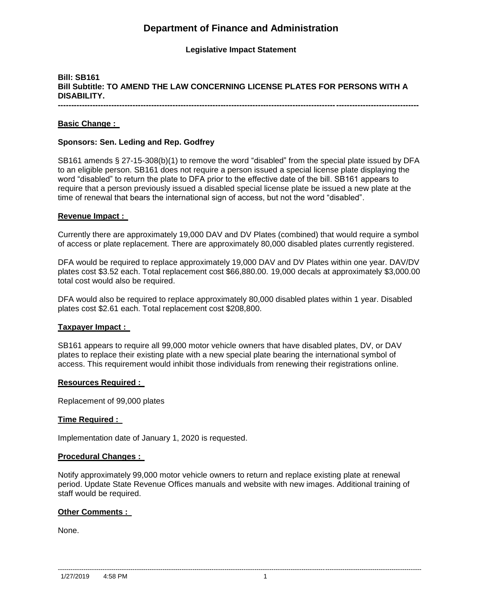# **Department of Finance and Administration**

## **Legislative Impact Statement**

# **Bill: SB161 Bill Subtitle: TO AMEND THE LAW CONCERNING LICENSE PLATES FOR PERSONS WITH A DISABILITY.**

**---------------------------------------------------------------------------------------------------------------------------------------**

#### **Basic Change :**

#### **Sponsors: Sen. Leding and Rep. Godfrey**

SB161 amends § 27-15-308(b)(1) to remove the word "disabled" from the special plate issued by DFA to an eligible person. SB161 does not require a person issued a special license plate displaying the word "disabled" to return the plate to DFA prior to the effective date of the bill. SB161 appears to require that a person previously issued a disabled special license plate be issued a new plate at the time of renewal that bears the international sign of access, but not the word "disabled".

#### **Revenue Impact :**

Currently there are approximately 19,000 DAV and DV Plates (combined) that would require a symbol of access or plate replacement. There are approximately 80,000 disabled plates currently registered.

DFA would be required to replace approximately 19,000 DAV and DV Plates within one year. DAV/DV plates cost \$3.52 each. Total replacement cost \$66,880.00. 19,000 decals at approximately \$3,000.00 total cost would also be required.

DFA would also be required to replace approximately 80,000 disabled plates within 1 year. Disabled plates cost \$2.61 each. Total replacement cost \$208,800.

#### **Taxpayer Impact :**

SB161 appears to require all 99,000 motor vehicle owners that have disabled plates, DV, or DAV plates to replace their existing plate with a new special plate bearing the international symbol of access. This requirement would inhibit those individuals from renewing their registrations online.

#### **Resources Required :**

Replacement of 99,000 plates

#### **Time Required :**

Implementation date of January 1, 2020 is requested.

#### **Procedural Changes :**

Notify approximately 99,000 motor vehicle owners to return and replace existing plate at renewal period. Update State Revenue Offices manuals and website with new images. Additional training of staff would be required.

#### **Other Comments :**

None.